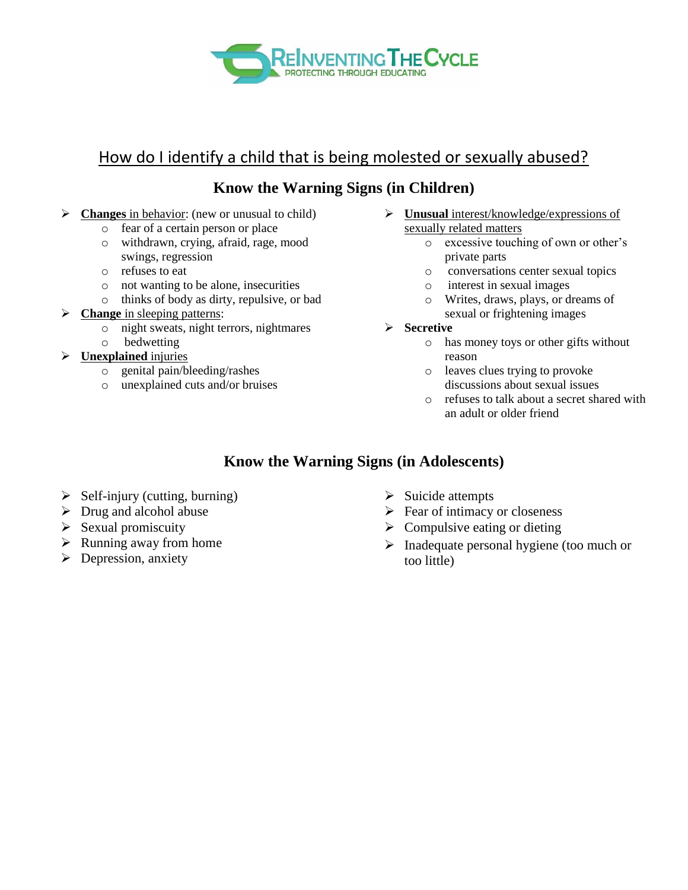

# How do I identify a child that is being molested or sexually abused?

## **Know the Warning Signs (in Children)**

- **Changes** in behavior: (new or unusual to child)
	- o fear of a certain person or place
	- o withdrawn, crying, afraid, rage, mood swings, regression
	- o refuses to eat
	- o not wanting to be alone, insecurities
	- o thinks of body as dirty, repulsive, or bad
- **Example in sleeping patterns:** 
	- o night sweats, night terrors, nightmares
	- o bedwetting
- **Unexplained** injuries
	- o genital pain/bleeding/rashes
	- o unexplained cuts and/or bruises
- **Unusual** interest/knowledge/expressions of sexually related matters
	- o excessive touching of own or other's private parts
	- o conversations center sexual topics
	- o interest in sexual images
	- o Writes, draws, plays, or dreams of sexual or frightening images
- **Secretive**
	- o has money toys or other gifts without reason
	- o leaves clues trying to provoke discussions about sexual issues
	- o refuses to talk about a secret shared with an adult or older friend

## **Know the Warning Signs (in Adolescents)**

- $\triangleright$  Self-injury (cutting, burning)
- $\triangleright$  Drug and alcohol abuse
- $\triangleright$  Sexual promiscuity
- $\triangleright$  Running away from home
- $\triangleright$  Depression, anxiety
- $\triangleright$  Suicide attempts
- $\triangleright$  Fear of intimacy or closeness
- $\triangleright$  Compulsive eating or dieting
- $\triangleright$  Inadequate personal hygiene (too much or too little)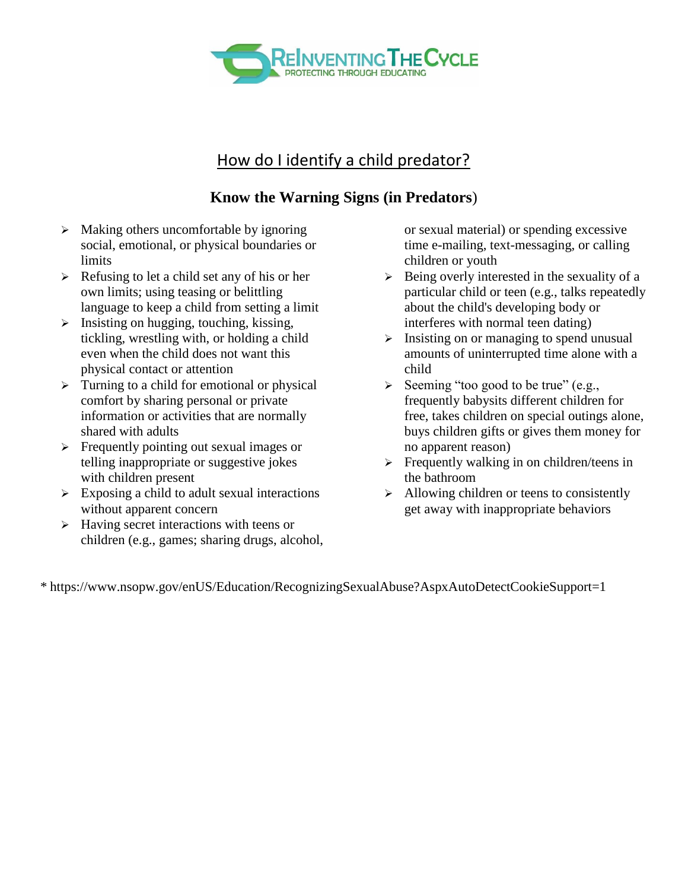

## How do I identify a child predator?

## **Know the Warning Signs (in Predators**)

- $\triangleright$  Making others uncomfortable by ignoring social, emotional, or physical boundaries or limits
- $\triangleright$  Refusing to let a child set any of his or her own limits; using teasing or belittling language to keep a child from setting a limit
- $\triangleright$  Insisting on hugging, touching, kissing, tickling, wrestling with, or holding a child even when the child does not want this physical contact or attention
- $\triangleright$  Turning to a child for emotional or physical comfort by sharing personal or private information or activities that are normally shared with adults
- $\triangleright$  Frequently pointing out sexual images or telling inappropriate or suggestive jokes with children present
- $\triangleright$  Exposing a child to adult sexual interactions without apparent concern
- $\triangleright$  Having secret interactions with teens or children (e.g., games; sharing drugs, alcohol,

or sexual material) or spending excessive time e-mailing, text-messaging, or calling children or youth

- $\triangleright$  Being overly interested in the sexuality of a particular child or teen (e.g., talks repeatedly about the child's developing body or interferes with normal teen dating)
- $\triangleright$  Insisting on or managing to spend unusual amounts of uninterrupted time alone with a child
- $\triangleright$  Seeming "too good to be true" (e.g., frequently babysits different children for free, takes children on special outings alone, buys children gifts or gives them money for no apparent reason)
- $\triangleright$  Frequently walking in on children/teens in the bathroom
- $\triangleright$  Allowing children or teens to consistently get away with inappropriate behaviors

\* https://www.nsopw.gov/enUS/Education/RecognizingSexualAbuse?AspxAutoDetectCookieSupport=1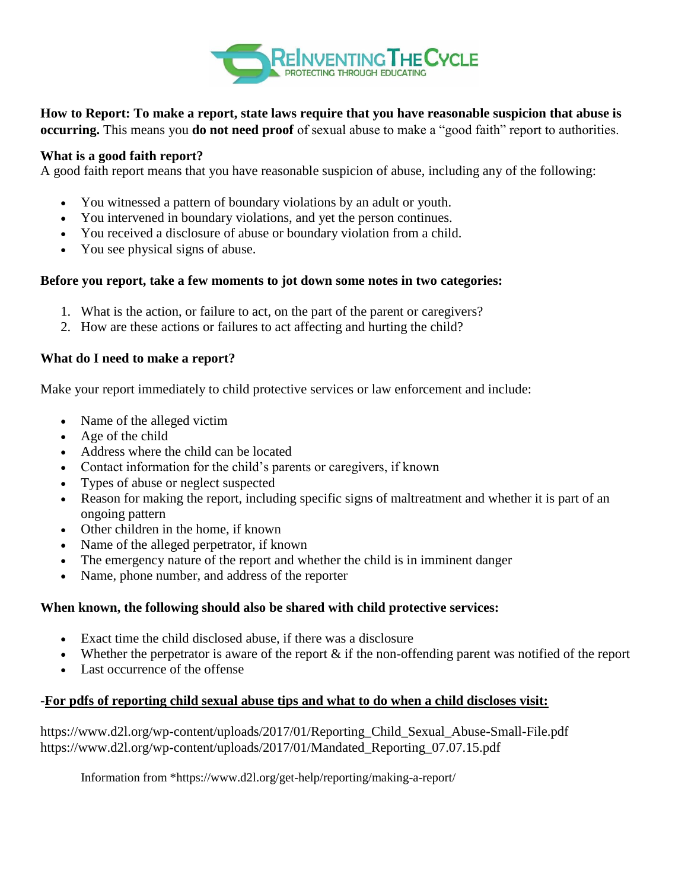

**How to Report: To make a report, state laws require that you have reasonable suspicion that abuse is occurring.** This means you **do not need proof** of sexual abuse to make a "good faith" report to authorities.

### **What is a good faith report?**

A good faith report means that you have reasonable suspicion of abuse, including any of the following:

- You witnessed a pattern of boundary violations by an adult or youth.
- You intervened in boundary violations, and yet the person continues.
- You received a disclosure of abuse or boundary violation from a child.
- You see physical signs of abuse.

#### **Before you report, take a few moments to jot down some notes in two categories:**

- 1. What is the action, or failure to act, on the part of the parent or caregivers?
- 2. How are these actions or failures to act affecting and hurting the child?

### **What do I need to make a report?**

Make your report immediately to child protective services or law enforcement and include:

- Name of the alleged victim
- Age of the child
- Address where the child can be located
- Contact information for the child's parents or caregivers, if known
- Types of abuse or neglect suspected
- Reason for making the report, including specific signs of maltreatment and whether it is part of an ongoing pattern
- Other children in the home, if known
- Name of the alleged perpetrator, if known
- The emergency nature of the report and whether the child is in imminent danger
- Name, phone number, and address of the reporter

#### **When known, the following should also be shared with child protective services:**

- Exact time the child disclosed abuse, if there was a disclosure
- Whether the perpetrator is aware of the report  $\&$  if the non-offending parent was notified of the report
- Last occurrence of the offense

## -**For pdfs of reporting child sexual abuse tips and what to do when a child discloses visit:**

https://www.d2l.org/wp-content/uploads/2017/01/Reporting\_Child\_Sexual\_Abuse-Small-File.pdf https://www.d2l.org/wp-content/uploads/2017/01/Mandated\_Reporting\_07.07.15.pdf

Information from \*https://www.d2l.org/get-help/reporting/making-a-report/